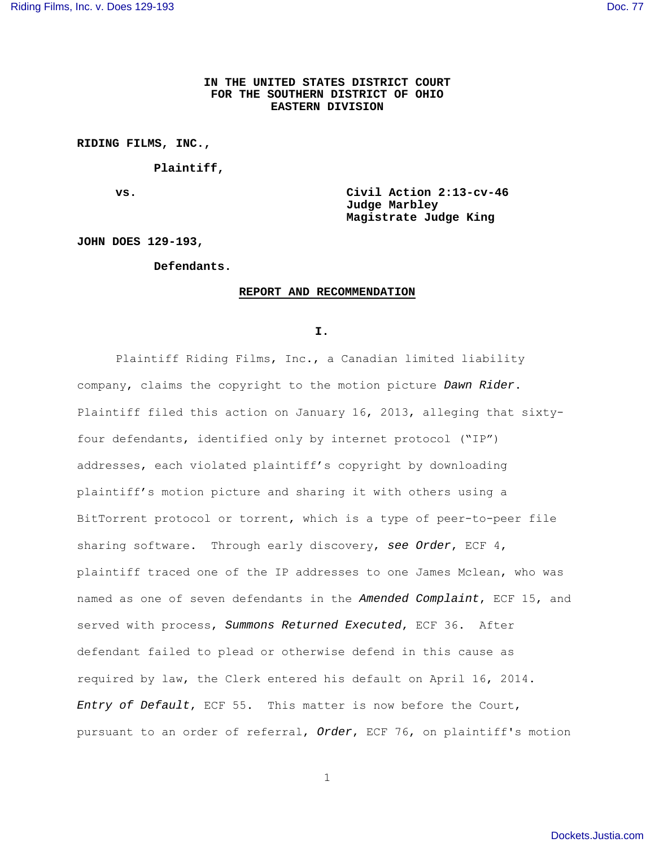# **IN THE UNITED STATES DISTRICT COURT FOR THE SOUTHERN DISTRICT OF OHIO EASTERN DIVISION**

**RIDING FILMS, INC.,** 

 **Plaintiff,** 

**vs. Civil Action 2:13-cv-46 Judge Marbley Magistrate Judge King** 

**JOHN DOES 129-193,** 

## **Defendants.**

### **REPORT AND RECOMMENDATION**

**I. I.** 

Plaintiff Riding Films, Inc., a Canadian limited liability company, claims the copyright to the motion picture Dawn Rider. Plaintiff filed this action on January 16, 2013, alleging that sixtyfour defendants, identified only by internet protocol ("IP") addresses, each violated plaintiff's copyright by downloading plaintiff's motion picture and sharing it with others using a BitTorrent protocol or torrent, which is a type of peer-to-peer file sharing software. Through early discovery, see Order, ECF 4, plaintiff traced one of the IP addresses to one James Mclean, who was named as one of seven defendants in the Amended Complaint, ECF 15, and served with process, Summons Returned Executed, ECF 36. After defendant failed to plead or otherwise defend in this cause as required by law, the Clerk entered his default on April 16, 2014. Entry of Default, ECF 55. This matter is now before the Court, pursuant to an order of referral, Order, ECF 76, on plaintiff's motion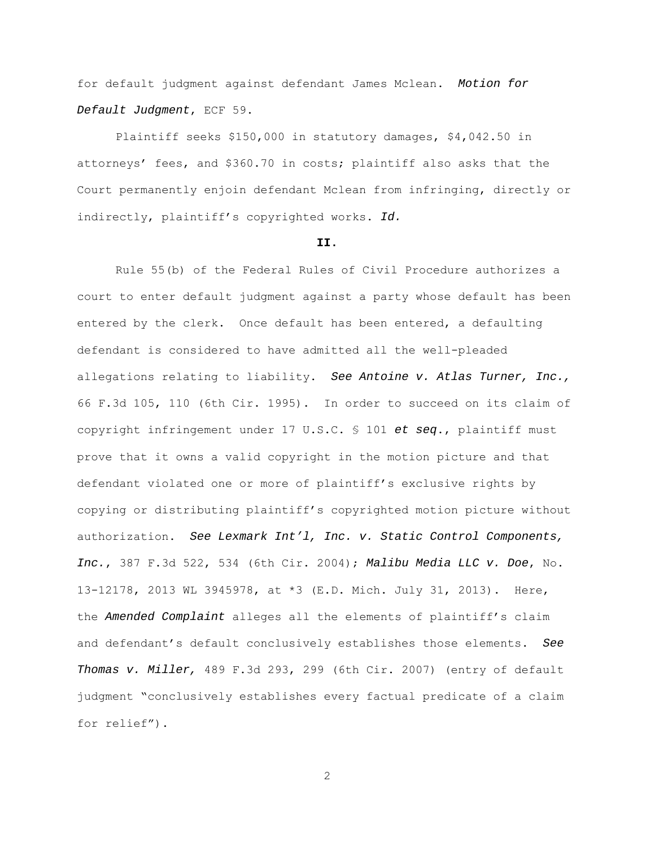for default judgment against defendant James Mclean. Motion for Default Judgment, ECF 59.

Plaintiff seeks \$150,000 in statutory damages, \$4,042.50 in attorneys' fees, and \$360.70 in costs; plaintiff also asks that the Court permanently enjoin defendant Mclean from infringing, directly or indirectly, plaintiff's copyrighted works. Id.

#### **II.**

Rule 55(b) of the Federal Rules of Civil Procedure authorizes a court to enter default judgment against a party whose default has been entered by the clerk. Once default has been entered, a defaulting defendant is considered to have admitted all the well-pleaded allegations relating to liability. See Antoine v. Atlas Turner, Inc., 66 F.3d 105, 110 (6th Cir. 1995). In order to succeed on its claim of copyright infringement under 17 U.S.C. § 101 et seq., plaintiff must prove that it owns a valid copyright in the motion picture and that defendant violated one or more of plaintiff's exclusive rights by copying or distributing plaintiff's copyrighted motion picture without authorization. See Lexmark Int'l, Inc. v. Static Control Components, Inc., 387 F.3d 522, 534 (6th Cir. 2004); Malibu Media LLC v. Doe, No. 13-12178, 2013 WL 3945978, at \*3 (E.D. Mich. July 31, 2013). Here, the Amended Complaint alleges all the elements of plaintiff's claim and defendant's default conclusively establishes those elements. See Thomas v. Miller, 489 F.3d 293, 299 (6th Cir. 2007) (entry of default judgment "conclusively establishes every factual predicate of a claim for relief").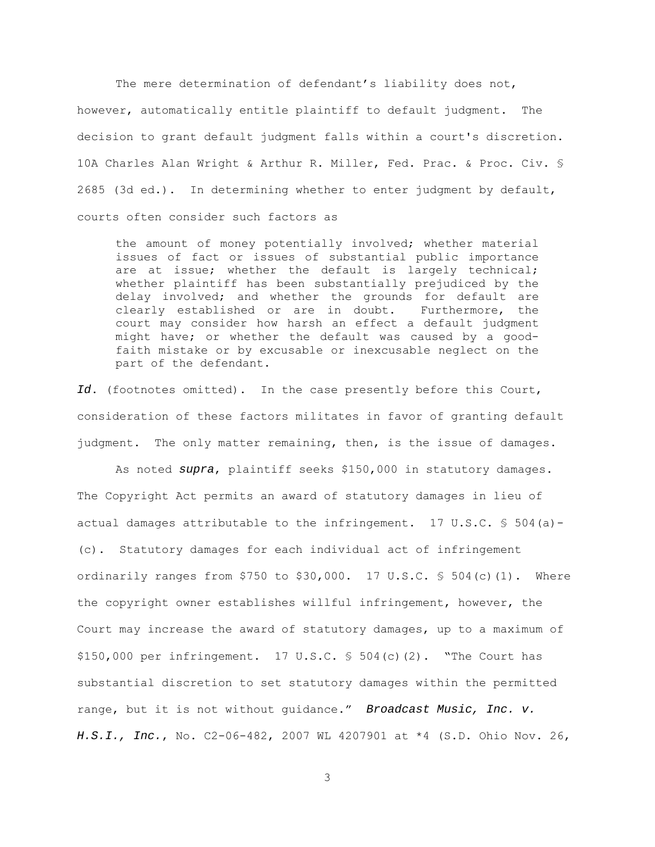The mere determination of defendant's liability does not, however, automatically entitle plaintiff to default judgment. The decision to grant default judgment falls within a court's discretion. 10A Charles Alan Wright & Arthur R. Miller, Fed. Prac. & Proc. Civ. § 2685 (3d ed.). In determining whether to enter judgment by default, courts often consider such factors as

the amount of money potentially involved; whether material issues of fact or issues of substantial public importance are at issue; whether the default is largely technical; whether plaintiff has been substantially prejudiced by the delay involved; and whether the grounds for default are clearly established or are in doubt. Furthermore, the court may consider how harsh an effect a default judgment might have; or whether the default was caused by a goodfaith mistake or by excusable or inexcusable neglect on the part of the defendant.

Id. (footnotes omitted). In the case presently before this Court, consideration of these factors militates in favor of granting default judgment. The only matter remaining, then, is the issue of damages.

 As noted supra, plaintiff seeks \$150,000 in statutory damages. The Copyright Act permits an award of statutory damages in lieu of actual damages attributable to the infringement.  $17 \text{ U.S.C.}$  \$ 504(a) -(c). Statutory damages for each individual act of infringement ordinarily ranges from \$750 to \$30,000. 17 U.S.C.  $$504(c) (1)$ . Where the copyright owner establishes willful infringement, however, the Court may increase the award of statutory damages, up to a maximum of \$150,000 per infringement. 17 U.S.C. § 504(c)(2). "The Court has substantial discretion to set statutory damages within the permitted range, but it is not without guidance." Broadcast Music, Inc. v. H.S.I., Inc., No. C2-06-482, 2007 WL 4207901 at \*4 (S.D. Ohio Nov. 26,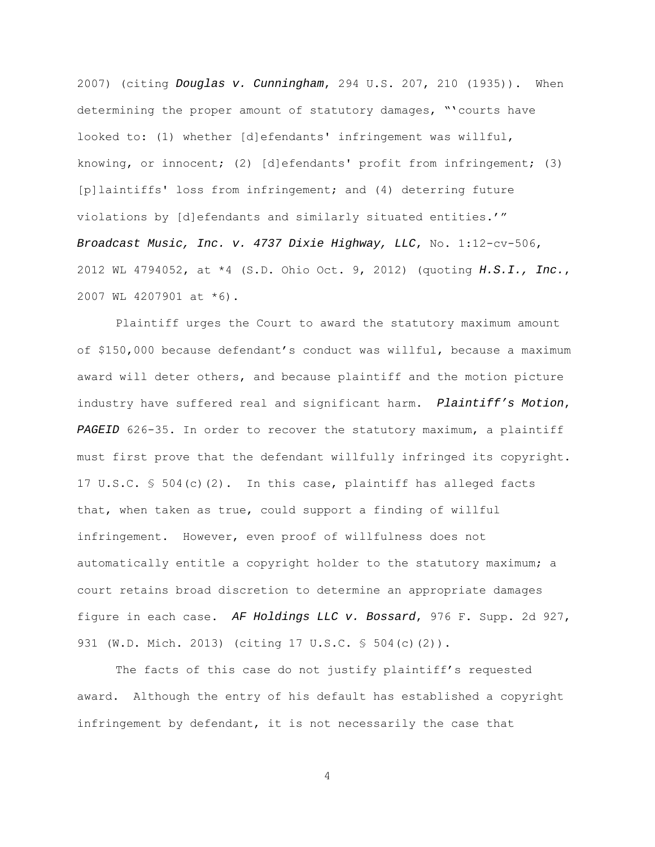2007) (citing Douglas v. Cunningham, 294 U.S. 207, 210 (1935)). When determining the proper amount of statutory damages, "'courts have looked to: (1) whether [d]efendants' infringement was willful, knowing, or innocent; (2) [d]efendants' profit from infringement; (3) [p]laintiffs' loss from infringement; and (4) deterring future violations by [d]efendants and similarly situated entities.'" Broadcast Music, Inc. v. 4737 Dixie Highway, LLC, No. 1:12-cv-506, 2012 WL 4794052, at  $*4$  (S.D. Ohio Oct. 9, 2012) (quoting  $H.S.I.J.$ , Inc., 2007 WL 4207901 at \*6).

 Plaintiff urges the Court to award the statutory maximum amount of \$150,000 because defendant's conduct was willful, because a maximum award will deter others, and because plaintiff and the motion picture industry have suffered real and significant harm. Plaintiff's Motion, PAGEID 626-35. In order to recover the statutory maximum, a plaintiff must first prove that the defendant willfully infringed its copyright. 17 U.S.C. § 504(c)(2). In this case, plaintiff has alleged facts that, when taken as true, could support a finding of willful infringement. However, even proof of willfulness does not automatically entitle a copyright holder to the statutory maximum; a court retains broad discretion to determine an appropriate damages figure in each case. AF Holdings LLC v. Bossard, 976 F. Supp. 2d 927, 931 (W.D. Mich. 2013) (citing 17 U.S.C. § 504(c)(2)).

 The facts of this case do not justify plaintiff's requested award. Although the entry of his default has established a copyright infringement by defendant, it is not necessarily the case that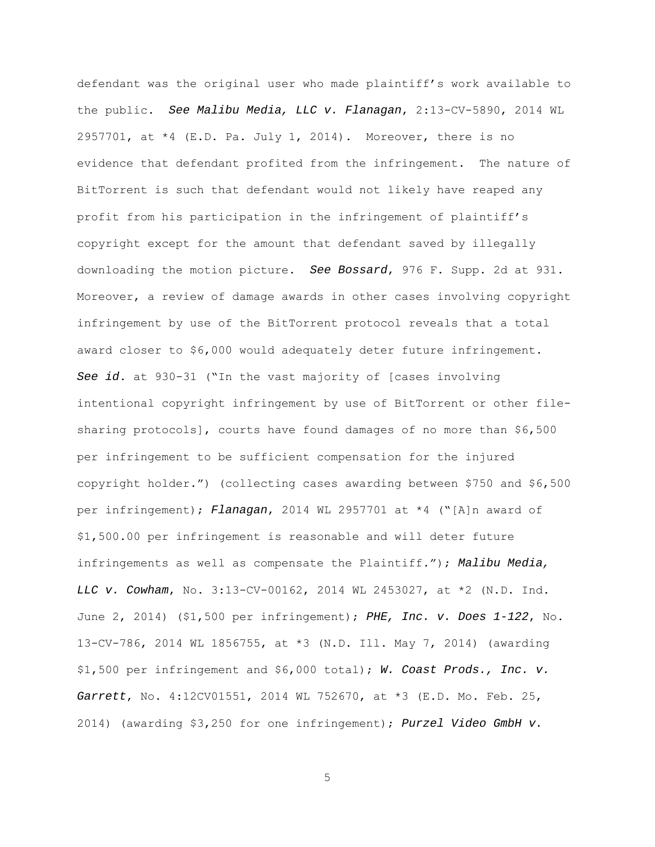defendant was the original user who made plaintiff's work available to the public. See Malibu Media, LLC v. Flanagan, 2:13-CV-5890, 2014 WL 2957701, at  $*4$  (E.D. Pa. July 1, 2014). Moreover, there is no evidence that defendant profited from the infringement. The nature of BitTorrent is such that defendant would not likely have reaped any profit from his participation in the infringement of plaintiff's copyright except for the amount that defendant saved by illegally downloading the motion picture. See Bossard, 976 F. Supp. 2d at 931. Moreover, a review of damage awards in other cases involving copyright infringement by use of the BitTorrent protocol reveals that a total award closer to \$6,000 would adequately deter future infringement. See id. at 930-31 ("In the vast majority of [cases involving intentional copyright infringement by use of BitTorrent or other filesharing protocols], courts have found damages of no more than \$6,500 per infringement to be sufficient compensation for the injured copyright holder.") (collecting cases awarding between \$750 and \$6,500 per infringement); Flanagan, 2014 WL 2957701 at \*4 ("[A]n award of \$1,500.00 per infringement is reasonable and will deter future infringements as well as compensate the Plaintiff."); Malibu Media, LLC v. Cowham, No. 3:13-CV-00162, 2014 WL 2453027, at \*2 (N.D. Ind. June 2, 2014) (\$1,500 per infringement); PHE, Inc. v. Does 1-122, No. 13-CV-786, 2014 WL 1856755, at \*3 (N.D. Ill. May 7, 2014) (awarding \$1,500 per infringement and \$6,000 total); W. Coast Prods., Inc. v. Garrett, No. 4:12CV01551, 2014 WL 752670, at \*3 (E.D. Mo. Feb. 25, 2014) (awarding \$3,250 for one infringement); Purzel Video GmbH v.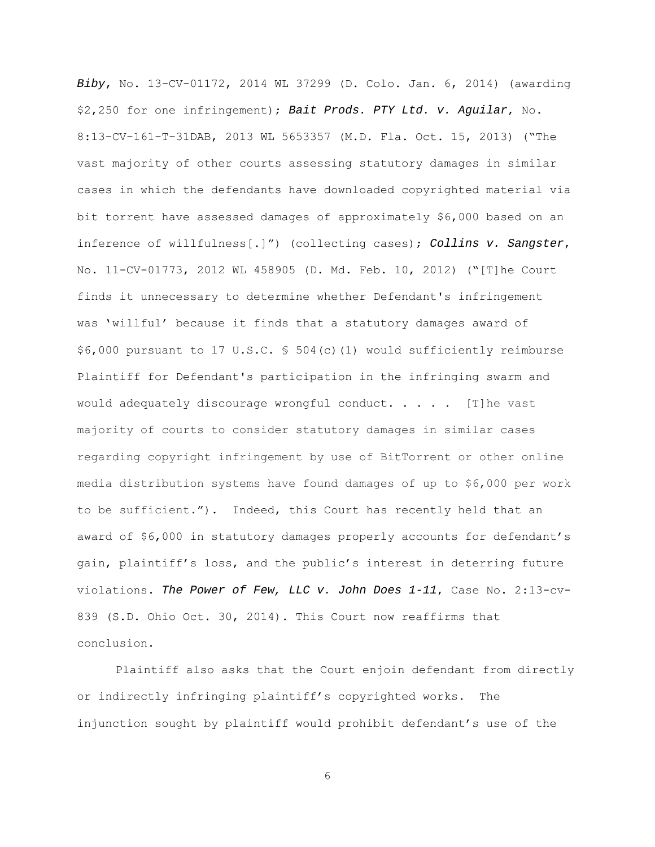Biby, No. 13-CV-01172, 2014 WL 37299 (D. Colo. Jan. 6, 2014) (awarding \$2,250 for one infringement); Bait Prods. PTY Ltd. v. Aguilar, No. 8:13-CV-161-T-31DAB, 2013 WL 5653357 (M.D. Fla. Oct. 15, 2013) ("The vast majority of other courts assessing statutory damages in similar cases in which the defendants have downloaded copyrighted material via bit torrent have assessed damages of approximately \$6,000 based on an inference of willfulness[.]") (collecting cases); Collins v. Sangster, No. 11-CV-01773, 2012 WL 458905 (D. Md. Feb. 10, 2012) ("[T]he Court finds it unnecessary to determine whether Defendant's infringement was 'willful' because it finds that a statutory damages award of \$6,000 pursuant to 17 U.S.C. § 504(c)(1) would sufficiently reimburse Plaintiff for Defendant's participation in the infringing swarm and would adequately discourage wrongful conduct. . . . .  $[T]$ he vast majority of courts to consider statutory damages in similar cases regarding copyright infringement by use of BitTorrent or other online media distribution systems have found damages of up to \$6,000 per work to be sufficient."). Indeed, this Court has recently held that an award of \$6,000 in statutory damages properly accounts for defendant's gain, plaintiff's loss, and the public's interest in deterring future violations. The Power of Few, LLC v. John Does 1-11, Case No. 2:13-cv-839 (S.D. Ohio Oct. 30, 2014). This Court now reaffirms that conclusion.

Plaintiff also asks that the Court enjoin defendant from directly or indirectly infringing plaintiff's copyrighted works. The injunction sought by plaintiff would prohibit defendant's use of the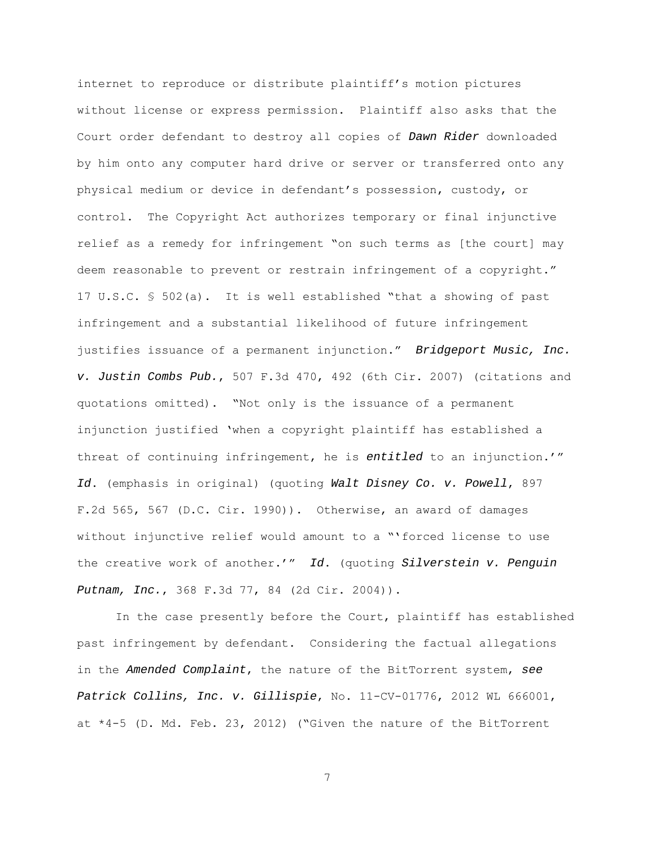internet to reproduce or distribute plaintiff's motion pictures without license or express permission. Plaintiff also asks that the Court order defendant to destroy all copies of Dawn Rider downloaded by him onto any computer hard drive or server or transferred onto any physical medium or device in defendant's possession, custody, or control. The Copyright Act authorizes temporary or final injunctive relief as a remedy for infringement "on such terms as [the court] may deem reasonable to prevent or restrain infringement of a copyright." 17 U.S.C. § 502(a). It is well established "that a showing of past infringement and a substantial likelihood of future infringement justifies issuance of a permanent injunction." Bridgeport Music, Inc. v. Justin Combs Pub., 507 F.3d 470, 492 (6th Cir. 2007) (citations and quotations omitted). "Not only is the issuance of a permanent injunction justified 'when a copyright plaintiff has established a threat of continuing infringement, he is entitled to an injunction.'" Id. (emphasis in original) (quoting Walt Disney Co. v. Powell, 897 F.2d 565, 567 (D.C. Cir. 1990)). Otherwise, an award of damages without injunctive relief would amount to a "'forced license to use the creative work of another.'" Id. (quoting Silverstein v. Penguin Putnam, Inc., 368 F.3d 77, 84 (2d Cir. 2004)).

 In the case presently before the Court, plaintiff has established past infringement by defendant. Considering the factual allegations in the Amended Complaint, the nature of the BitTorrent system, see Patrick Collins, Inc. v. Gillispie, No. 11-CV-01776, 2012 WL 666001, at \*4-5 (D. Md. Feb. 23, 2012) ("Given the nature of the BitTorrent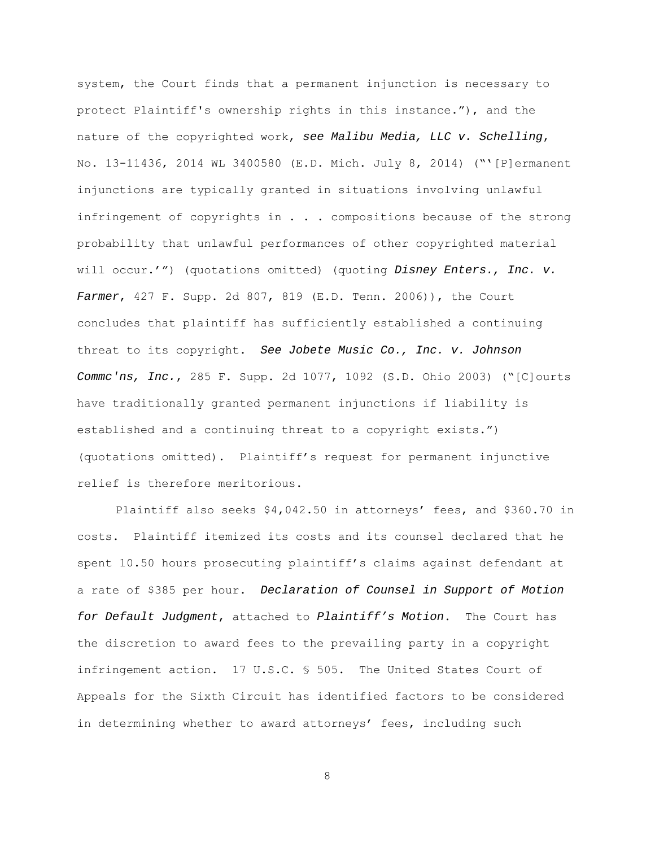system, the Court finds that a permanent injunction is necessary to protect Plaintiff's ownership rights in this instance."), and the nature of the copyrighted work, see Malibu Media, LLC v. Schelling, No. 13-11436, 2014 WL 3400580 (E.D. Mich. July 8, 2014) ("̔[P]ermanent injunctions are typically granted in situations involving unlawful infringement of copyrights in . . . compositions because of the strong probability that unlawful performances of other copyrighted material will occur.'") (quotations omitted) (quoting Disney Enters., Inc. v. Farmer, 427 F. Supp. 2d 807, 819 (E.D. Tenn. 2006)), the Court concludes that plaintiff has sufficiently established a continuing threat to its copyright. See Jobete Music Co., Inc. v. Johnson Commc'ns, Inc., 285 F. Supp. 2d 1077, 1092 (S.D. Ohio 2003) ("[C]ourts have traditionally granted permanent injunctions if liability is established and a continuing threat to a copyright exists.") (quotations omitted). Plaintiff's request for permanent injunctive relief is therefore meritorious.

Plaintiff also seeks \$4,042.50 in attorneys' fees, and \$360.70 in costs. Plaintiff itemized its costs and its counsel declared that he spent 10.50 hours prosecuting plaintiff's claims against defendant at a rate of \$385 per hour. Declaration of Counsel in Support of Motion for Default Judgment, attached to Plaintiff's Motion. The Court has the discretion to award fees to the prevailing party in a copyright infringement action. 17 U.S.C. § 505. The United States Court of Appeals for the Sixth Circuit has identified factors to be considered in determining whether to award attorneys' fees, including such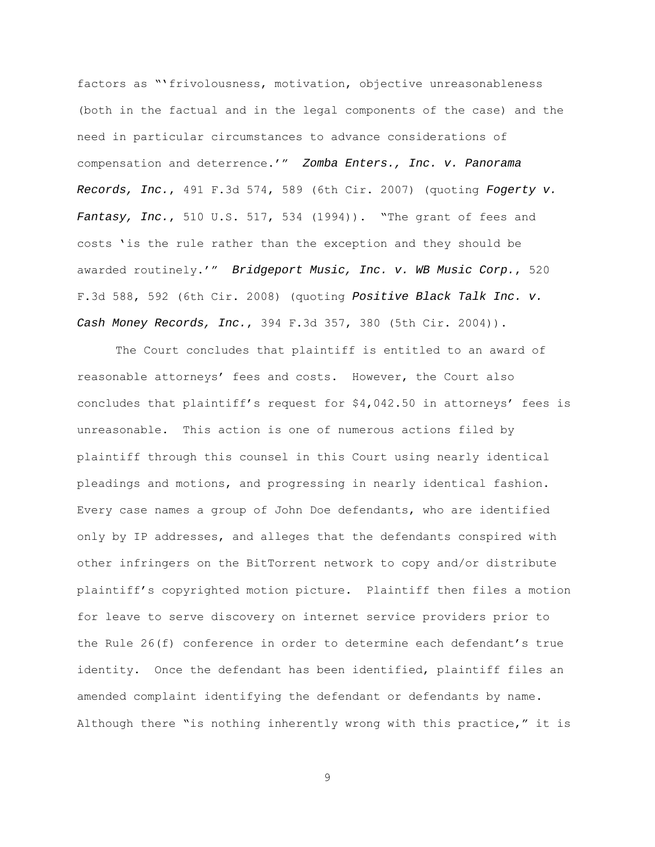factors as "'frivolousness, motivation, objective unreasonableness (both in the factual and in the legal components of the case) and the need in particular circumstances to advance considerations of compensation and deterrence.'" Zomba Enters., Inc. v. Panorama Records, Inc., 491 F.3d 574, 589 (6th Cir. 2007) (quoting Fogerty v. Fantasy, Inc., 510 U.S. 517, 534 (1994)). "The grant of fees and costs 'is the rule rather than the exception and they should be awarded routinely.'" Bridgeport Music, Inc. v. WB Music Corp., 520 F.3d 588, 592 (6th Cir. 2008) (quoting Positive Black Talk Inc. v. Cash Money Records, Inc., 394 F.3d 357, 380 (5th Cir. 2004)).

 The Court concludes that plaintiff is entitled to an award of reasonable attorneys' fees and costs. However, the Court also concludes that plaintiff's request for \$4,042.50 in attorneys' fees is unreasonable. This action is one of numerous actions filed by plaintiff through this counsel in this Court using nearly identical pleadings and motions, and progressing in nearly identical fashion. Every case names a group of John Doe defendants, who are identified only by IP addresses, and alleges that the defendants conspired with other infringers on the BitTorrent network to copy and/or distribute plaintiff's copyrighted motion picture. Plaintiff then files a motion for leave to serve discovery on internet service providers prior to the Rule 26(f) conference in order to determine each defendant's true identity. Once the defendant has been identified, plaintiff files an amended complaint identifying the defendant or defendants by name. Although there "is nothing inherently wrong with this practice," it is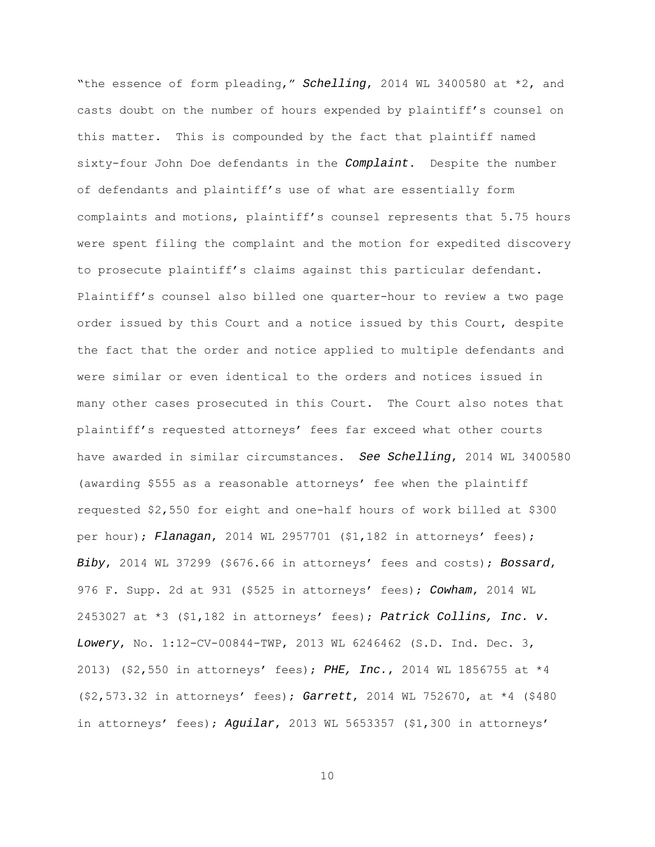"the essence of form pleading," Schelling, 2014 WL 3400580 at \*2, and casts doubt on the number of hours expended by plaintiff's counsel on this matter. This is compounded by the fact that plaintiff named sixty-four John Doe defendants in the Complaint. Despite the number of defendants and plaintiff's use of what are essentially form complaints and motions, plaintiff's counsel represents that 5.75 hours were spent filing the complaint and the motion for expedited discovery to prosecute plaintiff's claims against this particular defendant. Plaintiff's counsel also billed one quarter-hour to review a two page order issued by this Court and a notice issued by this Court, despite the fact that the order and notice applied to multiple defendants and were similar or even identical to the orders and notices issued in many other cases prosecuted in this Court. The Court also notes that plaintiff's requested attorneys' fees far exceed what other courts have awarded in similar circumstances. See Schelling, 2014 WL 3400580 (awarding \$555 as a reasonable attorneys' fee when the plaintiff requested \$2,550 for eight and one-half hours of work billed at \$300 per hour); Flanagan, 2014 WL 2957701  $(51,182$  in attorneys' fees); Biby, 2014 WL 37299 (\$676.66 in attorneys' fees and costs); Bossard, 976 F. Supp. 2d at 931 (\$525 in attorneys' fees); Cowham, 2014 WL 2453027 at \*3 (\$1,182 in attorneys' fees); Patrick Collins, Inc. v. Lowery, No. 1:12-CV-00844-TWP, 2013 WL 6246462 (S.D. Ind. Dec. 3, 2013) (\$2,550 in attorneys' fees); PHE, Inc., 2014 WL 1856755 at \*4 (\$2,573.32 in attorneys' fees); Garrett, 2014 WL 752670, at \*4 (\$480 in attorneys' fees); Aguilar, 2013 WL 5653357 (\$1,300 in attorneys'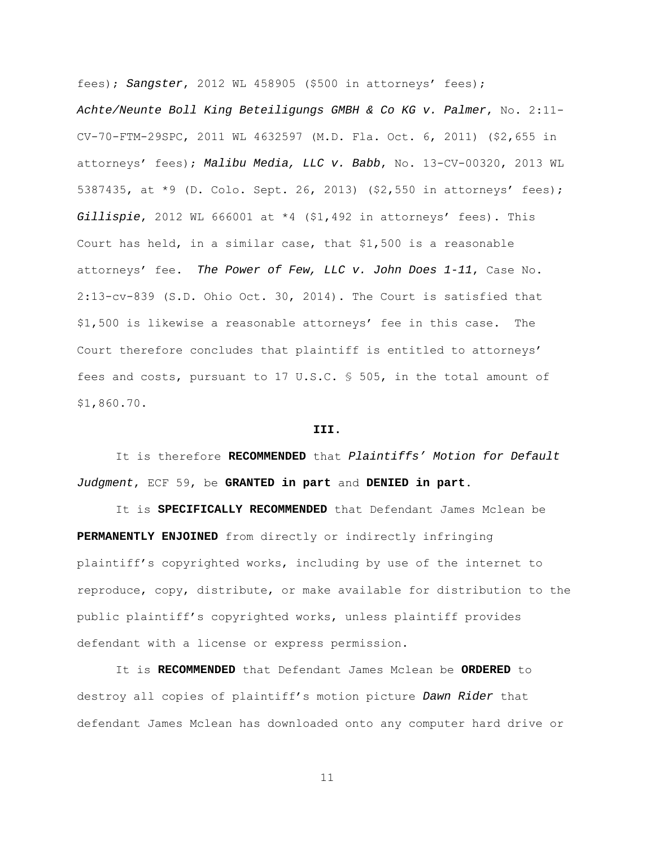fees); Sangster, 2012 WL 458905 (\$500 in attorneys' fees); Achte/Neunte Boll King Beteiligungs GMBH & Co KG v. Palmer, No. 2:11- CV-70-FTM-29SPC, 2011 WL 4632597 (M.D. Fla. Oct. 6, 2011) (\$2,655 in attorneys' fees); Malibu Media, LLC v. Babb, No. 13-CV-00320, 2013 WL 5387435, at \*9 (D. Colo. Sept. 26, 2013) (\$2,550 in attorneys' fees); Gillispie, 2012 WL 666001 at  $*4$  (\$1,492 in attorneys' fees). This Court has held, in a similar case, that \$1,500 is a reasonable attorneys' fee. The Power of Few, LLC v. John Does 1-11, Case No. 2:13-cv-839 (S.D. Ohio Oct. 30, 2014). The Court is satisfied that \$1,500 is likewise a reasonable attorneys' fee in this case. The Court therefore concludes that plaintiff is entitled to attorneys' fees and costs, pursuant to 17 U.S.C. § 505, in the total amount of \$1,860.70.

## **III.**

 It is therefore **RECOMMENDED** that Plaintiffs' Motion for Default Judgment, ECF 59, be **GRANTED in part** and **DENIED in part**.

 It is **SPECIFICALLY RECOMMENDED** that Defendant James Mclean be **PERMANENTLY ENJOINED** from directly or indirectly infringing plaintiff's copyrighted works, including by use of the internet to reproduce, copy, distribute, or make available for distribution to the public plaintiff's copyrighted works, unless plaintiff provides defendant with a license or express permission.

 It is **RECOMMENDED** that Defendant James Mclean be **ORDERED** to destroy all copies of plaintiff's motion picture Dawn Rider that defendant James Mclean has downloaded onto any computer hard drive or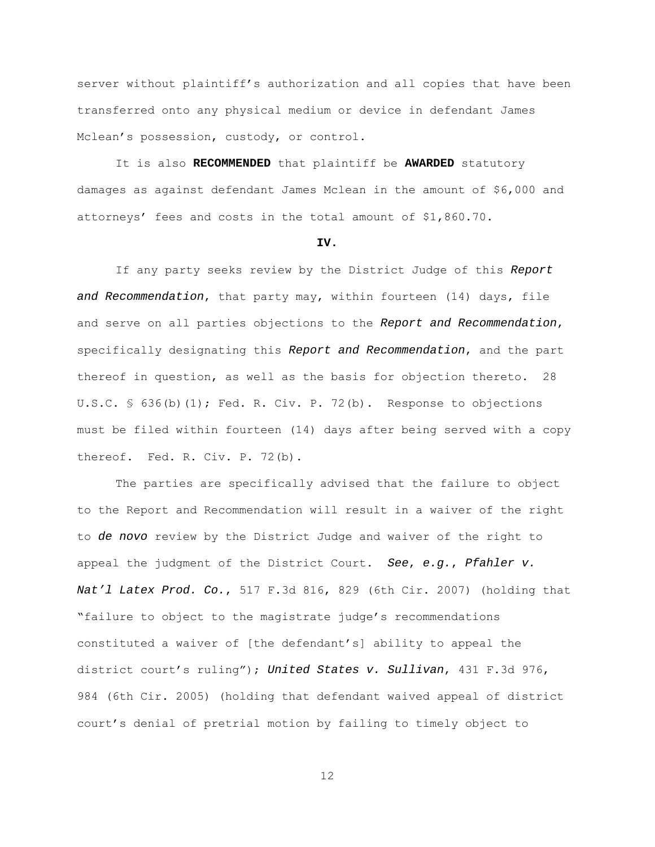server without plaintiff's authorization and all copies that have been transferred onto any physical medium or device in defendant James Mclean's possession, custody, or control.

 It is also **RECOMMENDED** that plaintiff be **AWARDED** statutory damages as against defendant James Mclean in the amount of \$6,000 and attorneys' fees and costs in the total amount of \$1,860.70.

#### **IV.**

 If any party seeks review by the District Judge of this Report and Recommendation, that party may, within fourteen (14) days, file and serve on all parties objections to the Report and Recommendation, specifically designating this Report and Recommendation, and the part thereof in question, as well as the basis for objection thereto. 28 U.S.C. § 636(b)(1); Fed. R. Civ. P. 72(b). Response to objections must be filed within fourteen (14) days after being served with a copy thereof. Fed. R. Civ. P. 72(b).

The parties are specifically advised that the failure to object to the Report and Recommendation will result in a waiver of the right to de novo review by the District Judge and waiver of the right to appeal the judgment of the District Court. See, e.g., Pfahler v. Nat'l Latex Prod. Co., 517 F.3d 816, 829 (6th Cir. 2007) (holding that "failure to object to the magistrate judge's recommendations constituted a waiver of [the defendant's] ability to appeal the district court's ruling"); United States v. Sullivan, 431 F.3d 976, 984 (6th Cir. 2005) (holding that defendant waived appeal of district court's denial of pretrial motion by failing to timely object to